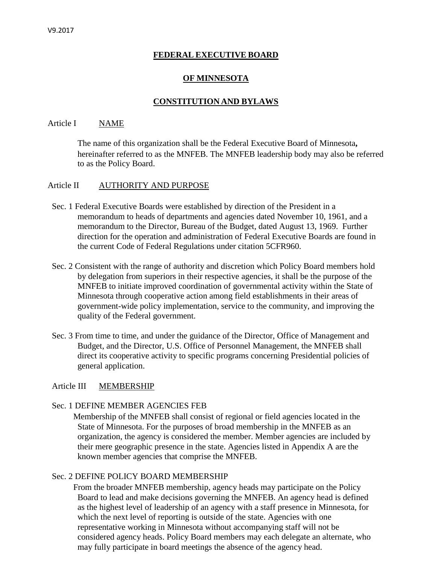# **FEDERAL EXECUTIVE BOARD**

## **OF MINNESOTA**

#### **CONSTITUTION AND BYLAWS**

#### Article I NAME

The name of this organization shall be the Federal Executive Board of Minnesota**,** hereinafter referred to as the MNFEB. The MNFEB leadership body may also be referred to as the Policy Board.

#### Article II AUTHORITY AND PURPOSE

- Sec. 1 Federal Executive Boards were established by direction of the President in a memorandum to heads of departments and agencies dated November 10, 1961, and a memorandum to the Director, Bureau of the Budget, dated August 13, 1969. Further direction for the operation and administration of Federal Executive Boards are found in the current Code of Federal Regulations under citation 5CFR960.
- Sec. 2 Consistent with the range of authority and discretion which Policy Board members hold by delegation from superiors in their respective agencies, it shall be the purpose of the MNFEB to initiate improved coordination of governmental activity within the State of Minnesota through cooperative action among field establishments in their areas of government-wide policy implementation, service to the community, and improving the quality of the Federal government.
- Sec. 3 From time to time, and under the guidance of the Director, Office of Management and Budget, and the Director, U.S. Office of Personnel Management, the MNFEB shall direct its cooperative activity to specific programs concerning Presidential policies of general application.

#### Article III MEMBERSHIP

#### Sec. 1 DEFINE MEMBER AGENCIES FEB

Membership of the MNFEB shall consist of regional or field agencies located in the State of Minnesota. For the purposes of broad membership in the MNFEB as an organization, the agency is considered the member. Member agencies are included by their mere geographic presence in the state. Agencies listed in Appendix A are the known member agencies that comprise the MNFEB.

#### Sec. 2 DEFINE POLICY BOARD MEMBERSHIP

From the broader MNFEB membership, agency heads may participate on the Policy Board to lead and make decisions governing the MNFEB. An agency head is defined as the highest level of leadership of an agency with a staff presence in Minnesota, for which the next level of reporting is outside of the state. Agencies with one representative working in Minnesota without accompanying staff will not be considered agency heads. Policy Board members may each delegate an alternate, who may fully participate in board meetings the absence of the agency head.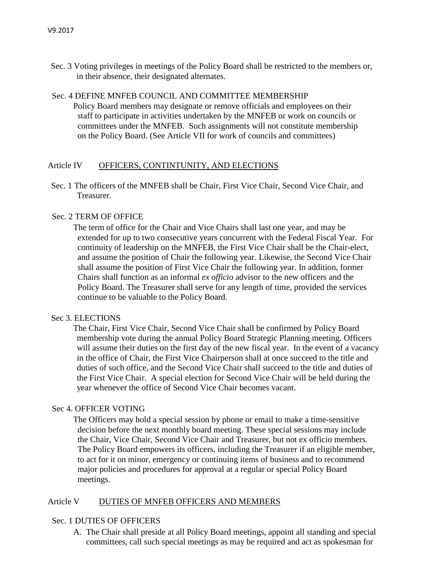Sec. 3 Voting privileges in meetings of the Policy Board shall be restricted to the members or, in their absence, their designated alternates.

# Sec. 4 DEFINE MNFEB COUNCIL AND COMMITTEE MEMBERSHIP

Policy Board members may designate or remove officials and employees on their staff to participate in activities undertaken by the MNFEB or work on councils or committees under the MNFEB. Such assignments will not constitute membership on the Policy Board. (See Article VII for work of councils and committees)

## Article IV OFFICERS, CONTINTUNITY, AND ELECTIONS

Sec. 1 The officers of the MNFEB shall be Chair, First Vice Chair, Second Vice Chair, and Treasurer.

# Sec. 2 TERM OF OFFICE

The term of office for the Chair and Vice Chairs shall last one year, and may be extended for up to two consecutive years concurrent with the Federal Fiscal Year. For continuity of leadership on the MNFEB, the First Vice Chair shall be the Chair-elect, and assume the position of Chair the following year. Likewise, the Second Vice Chair shall assume the position of First Vice Chair the following year. In addition, former Chairs shall function as an informal *ex officio* advisor to the new officers and the Policy Board. The Treasurer shall serve for any length of time, provided the services continue to be valuable to the Policy Board.

## Sec 3. ELECTIONS

The Chair, First Vice Chair, Second Vice Chair shall be confirmed by Policy Board membership vote during the annual Policy Board Strategic Planning meeting. Officers will assume their duties on the first day of the new fiscal year. In the event of a vacancy in the office of Chair, the First Vice Chairperson shall at once succeed to the title and duties of such office, and the Second Vice Chair shall succeed to the title and duties of the First Vice Chair. A special election for Second Vice Chair will be held during the year whenever the office of Second Vice Chair becomes vacant.

## Sec 4. OFFICER VOTING

The Officers may hold a special session by phone or email to make a time-sensitive decision before the next monthly board meeting. These special sessions may include the Chair, Vice Chair, Second Vice Chair and Treasurer, but not ex officio members. The Policy Board empowers its officers, including the Treasurer if an eligible member, to act for it on minor, emergency or continuing items of business and to recommend major policies and procedures for approval at a regular or special Policy Board meetings.

## Article V DUTIES OF MNFEB OFFICERS AND MEMBERS

## Sec. 1 DUTIES OF OFFICERS

A. The Chair shall preside at all Policy Board meetings, appoint all standing and special committees, call such special meetings as may be required and act as spokesman for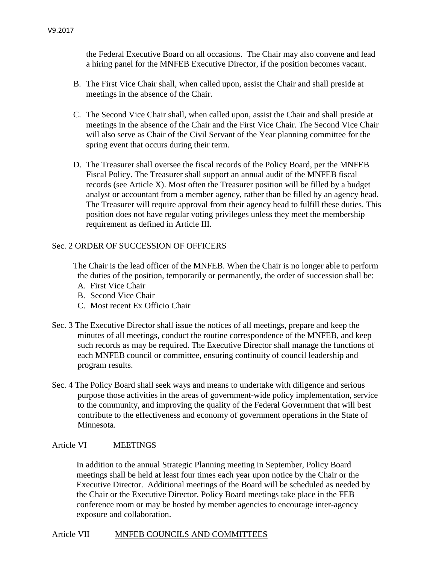the Federal Executive Board on all occasions. The Chair may also convene and lead a hiring panel for the MNFEB Executive Director, if the position becomes vacant.

- B. The First Vice Chair shall, when called upon, assist the Chair and shall preside at meetings in the absence of the Chair.
- C. The Second Vice Chair shall, when called upon, assist the Chair and shall preside at meetings in the absence of the Chair and the First Vice Chair. The Second Vice Chair will also serve as Chair of the Civil Servant of the Year planning committee for the spring event that occurs during their term.
- D. The Treasurer shall oversee the fiscal records of the Policy Board, per the MNFEB Fiscal Policy. The Treasurer shall support an annual audit of the MNFEB fiscal records (see Article X). Most often the Treasurer position will be filled by a budget analyst or accountant from a member agency, rather than be filled by an agency head. The Treasurer will require approval from their agency head to fulfill these duties. This position does not have regular voting privileges unless they meet the membership requirement as defined in Article III.

# Sec. 2 ORDER OF SUCCESSION OF OFFICERS

The Chair is the lead officer of the MNFEB. When the Chair is no longer able to perform the duties of the position, temporarily or permanently, the order of succession shall be:

- A. First Vice Chair
- B. Second Vice Chair
- C. Most recent Ex Officio Chair
- Sec. 3 The Executive Director shall issue the notices of all meetings, prepare and keep the minutes of all meetings, conduct the routine correspondence of the MNFEB, and keep such records as may be required. The Executive Director shall manage the functions of each MNFEB council or committee, ensuring continuity of council leadership and program results.
- Sec. 4 The Policy Board shall seek ways and means to undertake with diligence and serious purpose those activities in the areas of government-wide policy implementation, service to the community, and improving the quality of the Federal Government that will best contribute to the effectiveness and economy of government operations in the State of Minnesota.

## Article VI MEETINGS

In addition to the annual Strategic Planning meeting in September, Policy Board meetings shall be held at least four times each year upon notice by the Chair or the Executive Director. Additional meetings of the Board will be scheduled as needed by the Chair or the Executive Director. Policy Board meetings take place in the FEB conference room or may be hosted by member agencies to encourage inter-agency exposure and collaboration.

## Article VII MNFEB COUNCILS AND COMMITTEES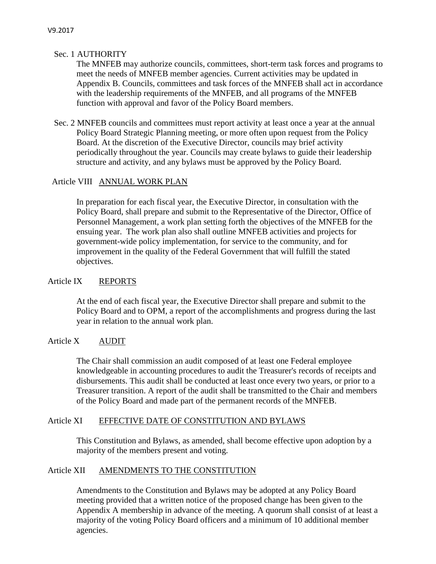# Sec. 1 AUTHORITY

The MNFEB may authorize councils, committees, short-term task forces and programs to meet the needs of MNFEB member agencies. Current activities may be updated in Appendix B. Councils, committees and task forces of the MNFEB shall act in accordance with the leadership requirements of the MNFEB, and all programs of the MNFEB function with approval and favor of the Policy Board members.

Sec. 2 MNFEB councils and committees must report activity at least once a year at the annual Policy Board Strategic Planning meeting, or more often upon request from the Policy Board. At the discretion of the Executive Director, councils may brief activity periodically throughout the year. Councils may create bylaws to guide their leadership structure and activity, and any bylaws must be approved by the Policy Board.

# Article VIII ANNUAL WORK PLAN

In preparation for each fiscal year, the Executive Director, in consultation with the Policy Board, shall prepare and submit to the Representative of the Director, Office of Personnel Management, a work plan setting forth the objectives of the MNFEB for the ensuing year. The work plan also shall outline MNFEB activities and projects for government-wide policy implementation, for service to the community, and for improvement in the quality of the Federal Government that will fulfill the stated objectives.

# Article IX REPORTS

At the end of each fiscal year, the Executive Director shall prepare and submit to the Policy Board and to OPM, a report of the accomplishments and progress during the last year in relation to the annual work plan.

## Article X AUDIT

The Chair shall commission an audit composed of at least one Federal employee knowledgeable in accounting procedures to audit the Treasurer's records of receipts and disbursements. This audit shall be conducted at least once every two years, or prior to a Treasurer transition. A report of the audit shall be transmitted to the Chair and members of the Policy Board and made part of the permanent records of the MNFEB.

# Article XI EFFECTIVE DATE OF CONSTITUTION AND BYLAWS

This Constitution and Bylaws, as amended, shall become effective upon adoption by a majority of the members present and voting.

## Article XII AMENDMENTS TO THE CONSTITUTION

Amendments to the Constitution and Bylaws may be adopted at any Policy Board meeting provided that a written notice of the proposed change has been given to the Appendix A membership in advance of the meeting. A quorum shall consist of at least a majority of the voting Policy Board officers and a minimum of 10 additional member agencies.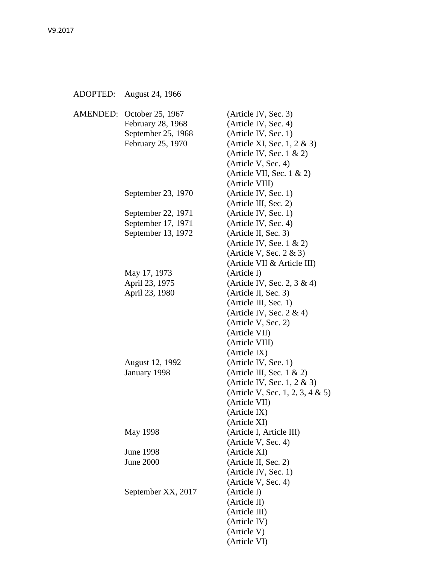| ADOPTED: | August 24, 1966                                                                           |                                                                                                                                                                                                 |
|----------|-------------------------------------------------------------------------------------------|-------------------------------------------------------------------------------------------------------------------------------------------------------------------------------------------------|
|          | AMENDED: October 25, 1967<br>February 28, 1968<br>September 25, 1968<br>February 25, 1970 | (Article IV, Sec. 3)<br>(Article IV, Sec. 4)<br>(Article IV, Sec. 1)<br>(Article XI, Sec. 1, $2 \& 3$ )<br>(Article IV, Sec. $1 \& 2$ )<br>(Article V, Sec. 4)<br>(Article VII, Sec. $1 \& 2$ ) |
|          | September 23, 1970                                                                        | (Article VIII)<br>(Article IV, Sec. 1)<br>(Article III, Sec. 2)                                                                                                                                 |
|          | September 22, 1971                                                                        | (Article IV, Sec. 1)                                                                                                                                                                            |
|          | September 17, 1971                                                                        | (Article IV, Sec. 4)                                                                                                                                                                            |
|          | September 13, 1972                                                                        | (Article II, Sec. 3)                                                                                                                                                                            |
|          |                                                                                           | (Article IV, See. $1 \& 2$ )                                                                                                                                                                    |
|          |                                                                                           | (Article V, Sec. $2 \& 3$ )                                                                                                                                                                     |
|          |                                                                                           | (Article VII & Article III)                                                                                                                                                                     |
|          | May 17, 1973                                                                              | (Article I)                                                                                                                                                                                     |
|          | April 23, 1975                                                                            | (Article IV, Sec. 2, $3 \& 4$ )                                                                                                                                                                 |
|          | April 23, 1980                                                                            | (Article II, Sec. 3)                                                                                                                                                                            |
|          |                                                                                           | (Article III, Sec. 1)                                                                                                                                                                           |
|          |                                                                                           | (Article IV, Sec. $2 \& 4$ )                                                                                                                                                                    |
|          |                                                                                           | (Article V, Sec. 2)                                                                                                                                                                             |
|          |                                                                                           | (Article VII)                                                                                                                                                                                   |
|          |                                                                                           | (Article VIII)                                                                                                                                                                                  |
|          |                                                                                           | (Article IX)                                                                                                                                                                                    |
|          | August 12, 1992                                                                           | (Article IV, See. 1)                                                                                                                                                                            |
|          | January 1998                                                                              | (Article III, Sec. $1 \& 2$ )                                                                                                                                                                   |
|          |                                                                                           | (Article IV, Sec. 1, $2 \& 3$ )                                                                                                                                                                 |
|          |                                                                                           | (Article V, Sec. 1, 2, 3, 4 $\&$ 5)                                                                                                                                                             |
|          |                                                                                           | (Article VII)                                                                                                                                                                                   |
|          |                                                                                           | (Article IX)                                                                                                                                                                                    |
|          |                                                                                           | (Article XI)                                                                                                                                                                                    |
|          | May 1998                                                                                  | (Article I, Article III)                                                                                                                                                                        |
|          |                                                                                           | (Article V, Sec. 4)                                                                                                                                                                             |
|          | <b>June 1998</b>                                                                          | (Article XI)                                                                                                                                                                                    |
|          | June 2000                                                                                 | (Article II, Sec. 2)                                                                                                                                                                            |
|          |                                                                                           | (Article IV, Sec. 1)                                                                                                                                                                            |
|          |                                                                                           | (Article V, Sec. 4)                                                                                                                                                                             |
|          | September XX, 2017                                                                        | (Article I)                                                                                                                                                                                     |
|          |                                                                                           | (Article II)                                                                                                                                                                                    |
|          |                                                                                           | (Article III)                                                                                                                                                                                   |
|          |                                                                                           | (Article IV)                                                                                                                                                                                    |
|          |                                                                                           | (Article V)                                                                                                                                                                                     |
|          |                                                                                           | (Article VI)                                                                                                                                                                                    |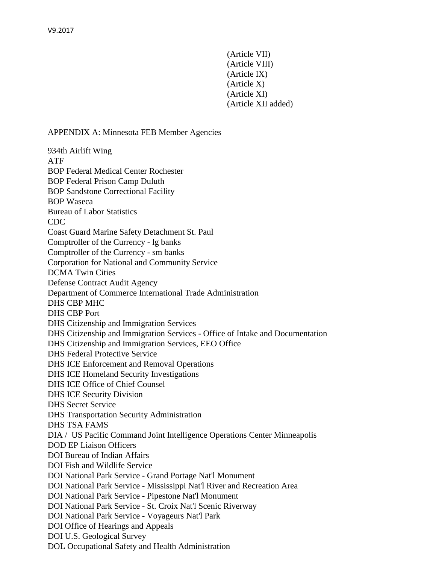(Article VII) (Article VIII) (Article IX) (Article X) (Article XI) (Article XII added)

#### APPENDIX A: Minnesota FEB Member Agencies

934th Airlift Wing ATF BOP Federal Medical Center Rochester BOP Federal Prison Camp Duluth BOP Sandstone Correctional Facility BOP Waseca Bureau of Labor Statistics CDC Coast Guard Marine Safety Detachment St. Paul Comptroller of the Currency - lg banks Comptroller of the Currency - sm banks Corporation for National and Community Service DCMA Twin Cities Defense Contract Audit Agency Department of Commerce International Trade Administration DHS CBP MHC DHS CBP Port DHS Citizenship and Immigration Services DHS Citizenship and Immigration Services - Office of Intake and Documentation DHS Citizenship and Immigration Services, EEO Office DHS Federal Protective Service DHS ICE Enforcement and Removal Operations DHS ICE Homeland Security Investigations DHS ICE Office of Chief Counsel DHS ICE Security Division DHS Secret Service DHS Transportation Security Administration DHS TSA FAMS DIA / US Pacific Command Joint Intelligence Operations Center Minneapolis DOD EP Liaison Officers DOI Bureau of Indian Affairs DOI Fish and Wildlife Service DOI National Park Service - Grand Portage Nat'l Monument DOI National Park Service - Mississippi Nat'l River and Recreation Area DOI National Park Service - Pipestone Nat'l Monument DOI National Park Service - St. Croix Nat'l Scenic Riverway DOI National Park Service - Voyageurs Nat'l Park DOI Office of Hearings and Appeals DOI U.S. Geological Survey DOL Occupational Safety and Health Administration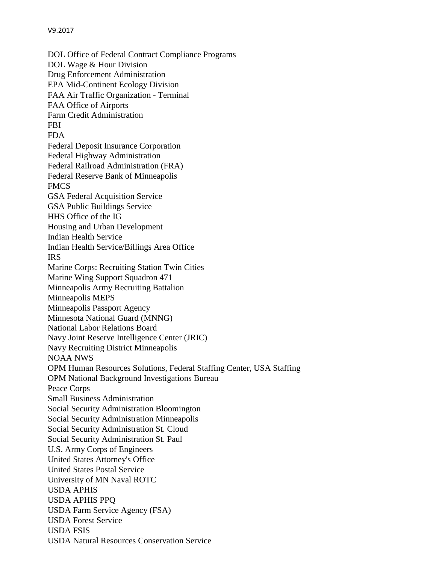V9.2017 DOL Office of Federal Contract Compliance Programs DOL Wage & Hour Division Drug Enforcement Administration EPA Mid-Continent Ecology Division FAA Air Traffic Organization - Terminal FAA Office of Airports Farm Credit Administration FBI FDA Federal Deposit Insurance Corporation Federal Highway Administration Federal Railroad Administration (FRA) Federal Reserve Bank of Minneapolis FMCS GSA Federal Acquisition Service GSA Public Buildings Service HHS Office of the IG Housing and Urban Development Indian Health Service

Indian Health Service/Billings Area Office IRS Marine Corps: Recruiting Station Twin Cities Marine Wing Support Squadron 471 Minneapolis Army Recruiting Battalion Minneapolis MEPS Minneapolis Passport Agency Minnesota National Guard (MNNG) National Labor Relations Board Navy Joint Reserve Intelligence Center (JRIC) Navy Recruiting District Minneapolis NOAA NWS OPM Human Resources Solutions, Federal Staffing Center, USA Staffing OPM National Background Investigations Bureau Peace Corps Small Business Administration Social Security Administration Bloomington Social Security Administration Minneapolis Social Security Administration St. Cloud Social Security Administration St. Paul U.S. Army Corps of Engineers United States Attorney's Office United States Postal Service University of MN Naval ROTC USDA APHIS USDA APHIS PPQ USDA Farm Service Agency (FSA) USDA Forest Service USDA FSIS USDA Natural Resources Conservation Service